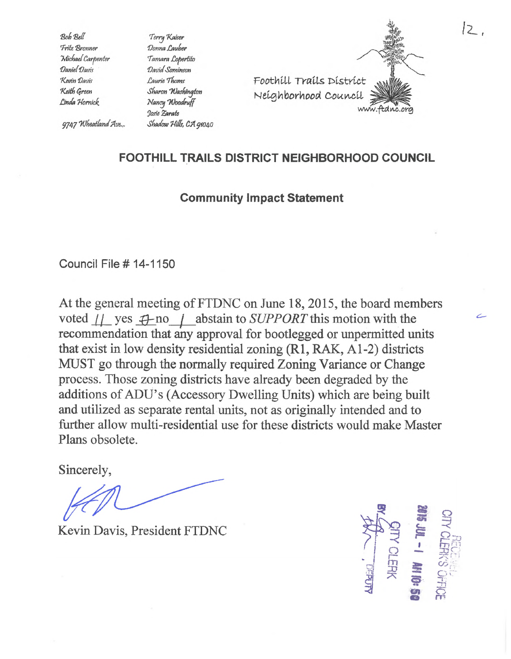Bob Bell Fritz Bronner Michael Carpenter Daniel Davis Kevin Davis Keith Green Linda Hornick

Terry Kaiser Donna Lauber Tamara Lopertito David Sominson Laurie Thoms Sharon Washington Nancy Woodruff Josie Earate Shadow Hills, CA 91040



## 9747 Wheatland Ave.,.

## **FOOTHILL TRAILS DISTRICT NEIGHBORHOOD COUNCIL**

## **Community Impact Statement**

Council File# 14-1150

At the general meeting of FTDNC on June 18, 2015, the board members voted  $\frac{1}{2}$  yes  $\bigoplus$  no  $\bigcap$  abstain to *SUPPORT* this motion with the recommendation that any approval for bootlegged or unpermitted units that exist in low density residential zoning (Rl, RAK, A1-2) districts MUST go through the normally required Zoning Variance or Change process. Those zoning districts have already been degraded by the additions of ADU's (Accessory Dwelling Units) which are being built and utilized as separate rental units, not as originally intended and to further allow multi-residential use for these districts would make Master Plans obsolete.

Sincerely,

Kevin Davis, President FTDNC